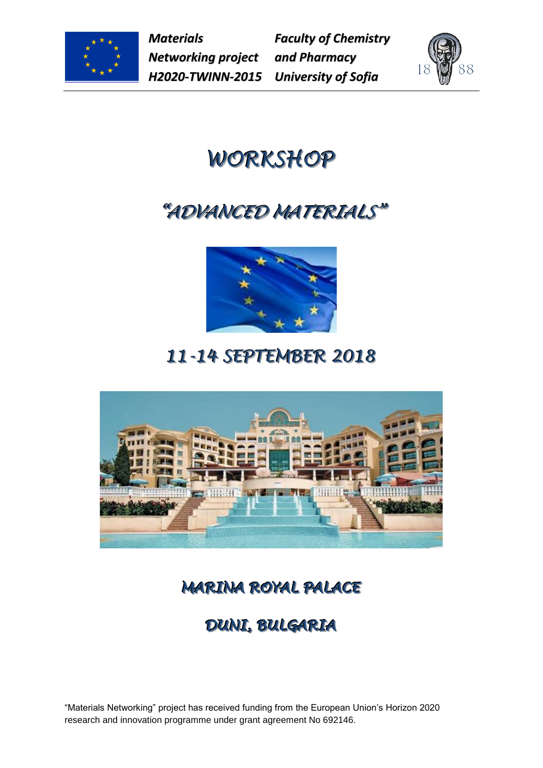

*Materials Networking project H2020-TWINN-2015*

*Faculty of Chemistry and Pharmacy University of Sofia*



# *WORKSHOP*

## *"ADVANCED MATERIALS"*



## *11--14 SEPTEMBER 2018*



### **MARINA ROYAL PALACE**

### **DUNI, BULGARIA**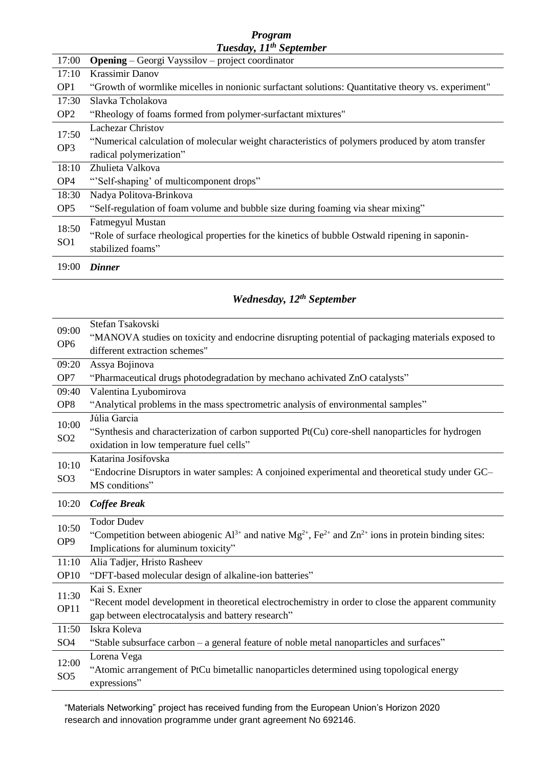#### *Program Tuesday, 11 th September*

| 17:00                    | <b>Opening</b> – Georgi Vayssilov – project coordinator                                            |
|--------------------------|----------------------------------------------------------------------------------------------------|
| 17:10                    | <b>Krassimir Danov</b>                                                                             |
| OP <sub>1</sub>          | "Growth of wormlike micelles in nonionic surfactant solutions: Quantitative theory vs. experiment" |
| 17:30                    | Slavka Tcholakova                                                                                  |
| OP <sub>2</sub>          | "Rheology of foams formed from polymer-surfactant mixtures"                                        |
| 17:50                    | <b>Lachezar Christov</b>                                                                           |
| OP <sub>3</sub>          | "Numerical calculation of molecular weight characteristics of polymers produced by atom transfer   |
|                          | radical polymerization"                                                                            |
| 18:10                    | Zhulieta Valkova                                                                                   |
| OP <sub>4</sub>          | "Self-shaping' of multicomponent drops"                                                            |
| 18:30                    | Nadya Politova-Brinkova                                                                            |
| OP <sub>5</sub>          | "Self-regulation of foam volume and bubble size during foaming via shear mixing"                   |
| 18:50<br>SO <sub>1</sub> | <b>Fatmegyul Mustan</b>                                                                            |
|                          | "Role of surface rheological properties for the kinetics of bubble Ostwald ripening in saponin-    |
|                          | stabilized foams"                                                                                  |
| 19:00                    | <b>Dinner</b>                                                                                      |

#### *Wednesday, 12 th September*

| 09:00<br>OP <sub>6</sub> | Stefan Tsakovski<br>"MANOVA studies on toxicity and endocrine disrupting potential of packaging materials exposed to<br>different extraction schemes"                               |
|--------------------------|-------------------------------------------------------------------------------------------------------------------------------------------------------------------------------------|
| 09:20                    | Assya Bojinova                                                                                                                                                                      |
| OP7                      | "Pharmaceutical drugs photodegradation by mechano achivated ZnO catalysts"                                                                                                          |
| 09:40                    | Valentina Lyubomirova                                                                                                                                                               |
| OP <sub>8</sub>          | "Analytical problems in the mass spectrometric analysis of environmental samples"                                                                                                   |
| 10:00<br>SO <sub>2</sub> | Júlia Garcia<br>"Synthesis and characterization of carbon supported Pt(Cu) core-shell nanoparticles for hydrogen<br>oxidation in low temperature fuel cells"                        |
| 10:10<br>SO <sub>3</sub> | Katarina Josifovska<br>"Endocrine Disruptors in water samples: A conjoined experimental and theoretical study under GC-<br>MS conditions"                                           |
| 10:20                    | <b>Coffee Break</b>                                                                                                                                                                 |
| 10:50<br>OP <sub>9</sub> | <b>Todor Dudev</b><br>"Competition between abiogenic $Al^{3+}$ and native $Mg^{2+}$ , $Fe^{2+}$ and $Zn^{2+}$ ions in protein binding sites:<br>Implications for aluminum toxicity" |
| 11:10                    | Alia Tadjer, Hristo Rasheev                                                                                                                                                         |
| OP <sub>10</sub>         | "DFT-based molecular design of alkaline-ion batteries"                                                                                                                              |
| 11:30<br>OP11            | Kai S. Exner<br>"Recent model development in theoretical electrochemistry in order to close the apparent community<br>gap between electrocatalysis and battery research"            |
| 11:50                    | Iskra Koleva                                                                                                                                                                        |
| SO <sub>4</sub>          | "Stable subsurface carbon - a general feature of noble metal nanoparticles and surfaces"                                                                                            |
| 12:00<br>SO <sub>5</sub> | Lorena Vega<br>"Atomic arrangement of PtCu bimetallic nanoparticles determined using topological energy                                                                             |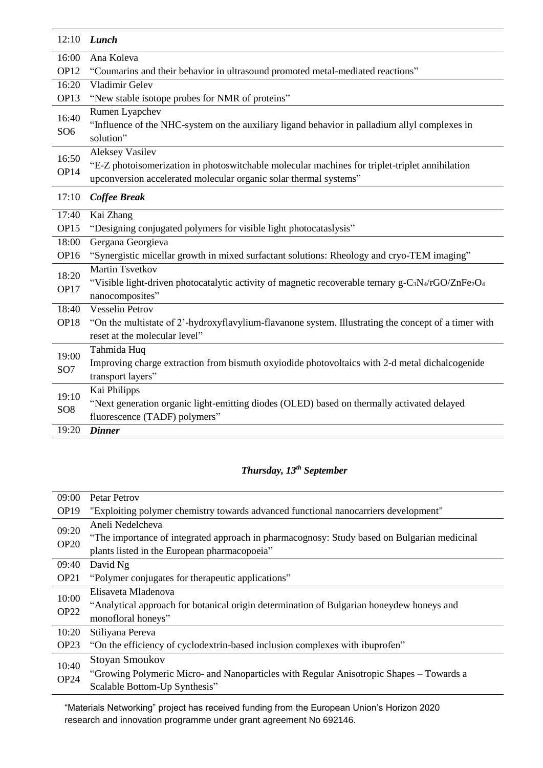| 12:10                    | Lunch                                                                                                                                               |
|--------------------------|-----------------------------------------------------------------------------------------------------------------------------------------------------|
| 16:00                    | Ana Koleva                                                                                                                                          |
| OP <sub>12</sub>         | "Coumarins and their behavior in ultrasound promoted metal-mediated reactions"                                                                      |
| 16:20                    | Vladimir Gelev                                                                                                                                      |
| OP13                     | "New stable isotope probes for NMR of proteins"                                                                                                     |
| 16:40                    | Rumen Lyapchev                                                                                                                                      |
| SO <sub>6</sub>          | "Influence of the NHC-system on the auxiliary ligand behavior in palladium allyl complexes in                                                       |
|                          | solution"                                                                                                                                           |
| 16:50                    | <b>Aleksey Vasilev</b>                                                                                                                              |
| OP14                     | "E-Z photoisomerization in photoswitchable molecular machines for triplet-triplet annihilation                                                      |
|                          | upconversion accelerated molecular organic solar thermal systems"                                                                                   |
| 17:10                    | <b>Coffee Break</b>                                                                                                                                 |
| 17:40                    | Kai Zhang                                                                                                                                           |
| OP15                     | "Designing conjugated polymers for visible light photocataslysis"                                                                                   |
| 18:00                    | Gergana Georgieva                                                                                                                                   |
| OP <sub>16</sub>         | "Synergistic micellar growth in mixed surfactant solutions: Rheology and cryo-TEM imaging"                                                          |
| 18:20                    | <b>Martin Tsvetkov</b>                                                                                                                              |
| OP17                     | "Visible light-driven photocatalytic activity of magnetic recoverable ternary g-C <sub>3</sub> N <sub>4</sub> /rGO/ZnFe <sub>2</sub> O <sub>4</sub> |
|                          | nanocomposites"                                                                                                                                     |
| 18:40                    | <b>Vesselin Petrov</b>                                                                                                                              |
| OP <sub>18</sub>         | "On the multistate of 2'-hydroxyflavylium-flavanone system. Illustrating the concept of a timer with                                                |
|                          | reset at the molecular level"                                                                                                                       |
| 19:00                    | Tahmida Huq                                                                                                                                         |
| SO <sub>7</sub>          | Improving charge extraction from bismuth oxyiodide photovoltaics with 2-d metal dichalcogenide                                                      |
|                          | transport layers"                                                                                                                                   |
| 19:10<br>SO <sub>8</sub> | Kai Philipps                                                                                                                                        |
|                          | "Next generation organic light-emitting diodes (OLED) based on thermally activated delayed                                                          |
|                          | fluorescence (TADF) polymers"                                                                                                                       |
| 19:20                    | <b>Dinner</b>                                                                                                                                       |

#### *Thursday, 13th September*

| 09:00            | Petar Petrov                                                                                |
|------------------|---------------------------------------------------------------------------------------------|
| OP <sub>19</sub> | "Exploiting polymer chemistry towards advanced functional nanocarriers development"         |
| 09:20            | Aneli Nedelcheva                                                                            |
| <b>OP20</b>      | "The importance of integrated approach in pharmacognosy: Study based on Bulgarian medicinal |
|                  | plants listed in the European pharmacopoeia"                                                |
| 09:40            | David Ng                                                                                    |
| OP <sub>21</sub> | "Polymer conjugates for therapeutic applications"                                           |
| 10:00            | Elisaveta Mladenova                                                                         |
|                  | "Analytical approach for botanical origin determination of Bulgarian honeydew honeys and    |
| <b>OP22</b>      | monofloral honeys"                                                                          |
| 10:20            | Stiliyana Pereva                                                                            |
| OP <sub>23</sub> | "On the efficiency of cyclodextrin-based inclusion complexes with ibuprofen"                |
| 10:40<br>OP24    | <b>Stoyan Smoukov</b>                                                                       |
|                  | "Growing Polymeric Micro- and Nanoparticles with Regular Anisotropic Shapes – Towards a     |
|                  | Scalable Bottom-Up Synthesis"                                                               |